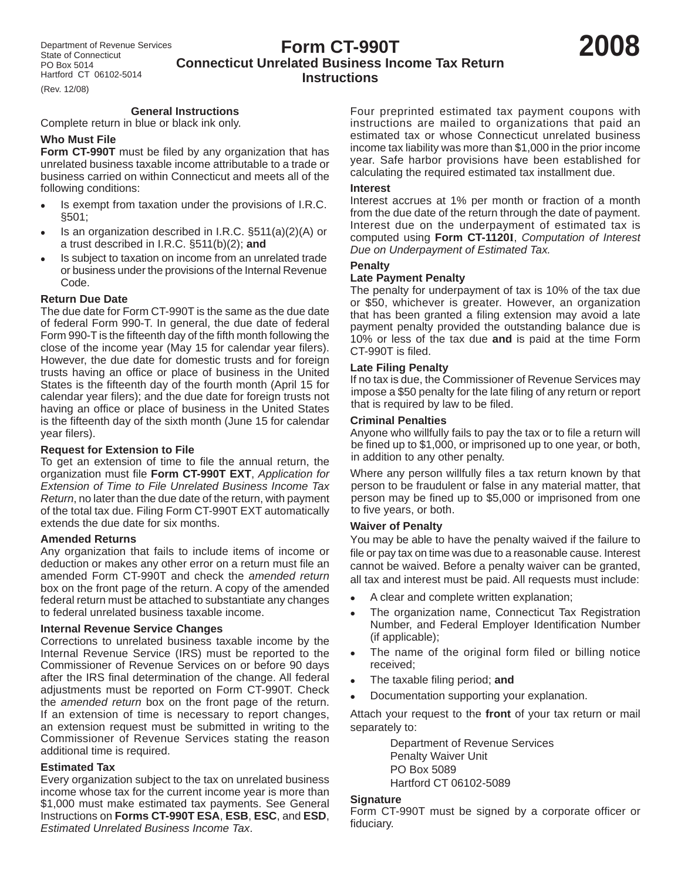# **Form CT-990T Connecticut Unrelated Business Income Tax Return Instructions**

(Rev. 12/08)

# **General Instructions**

Complete return in blue or black ink only.

# **Who Must File**

**Form CT-990T** must be filed by any organization that has unrelated business taxable income attributable to a trade or business carried on within Connecticut and meets all of the following conditions:

- Is exempt from taxation under the provisions of I.R.C. §501;
- Is an organization described in I.R.C.  $\S511(a)(2)(A)$  or a trust described in I.R.C. §511(b)(2); **and**
- Is subject to taxation on income from an unrelated trade or business under the provisions of the Internal Revenue Code.

# **Return Due Date**

The due date for Form CT-990T is the same as the due date of federal Form 990-T. In general, the due date of federal Form 990-T is the fifteenth day of the fifth month following the close of the income year (May 15 for calendar year filers). However, the due date for domestic trusts and for foreign trusts having an office or place of business in the United States is the fifteenth day of the fourth month (April 15 for calendar year filers); and the due date for foreign trusts not having an office or place of business in the United States is the fifteenth day of the sixth month (June 15 for calendar year filers).

# **Request for Extension to File**

To get an extension of time to file the annual return, the organization must file **Form CT-990T EXT**, *Application for Extension of Time to File Unrelated Business Income Tax Return*, no later than the due date of the return, with payment of the total tax due. Filing Form CT-990T EXT automatically extends the due date for six months.

# **Amended Returns**

Any organization that fails to include items of income or deduction or makes any other error on a return must file an amended Form CT-990T and check the *amended return*  box on the front page of the return. A copy of the amended federal return must be attached to substantiate any changes to federal unrelated business taxable income.

# **Internal Revenue Service Changes**

Corrections to unrelated business taxable income by the Internal Revenue Service (IRS) must be reported to the Commissioner of Revenue Services on or before 90 days after the IRS final determination of the change. All federal adjustments must be reported on Form CT-990T. Check the *amended return* box on the front page of the return. If an extension of time is necessary to report changes, an extension request must be submitted in writing to the Commissioner of Revenue Services stating the reason additional time is required.

# **Estimated Tax**

Every organization subject to the tax on unrelated business income whose tax for the current income year is more than \$1,000 must make estimated tax payments. See General Instructions on **Forms CT-990T ESA**, **ESB**, **ESC**, and **ESD**, *Estimated Unrelated Business Income Tax*.

Four preprinted estimated tax payment coupons with instructions are mailed to organizations that paid an estimated tax or whose Connecticut unrelated business income tax liability was more than \$1,000 in the prior income year. Safe harbor provisions have been established for calculating the required estimated tax installment due.

#### **Interest**

Interest accrues at 1% per month or fraction of a month from the due date of the return through the date of payment. Interest due on the underpayment of estimated tax is computed using **Form CT-1120I**, *Computation of Interest Due on Underpayment of Estimated Tax.*

#### **Penalty**

# **Late Payment Penalty**

The penalty for underpayment of tax is 10% of the tax due or \$50, whichever is greater. However, an organization that has been granted a filing extension may avoid a late payment penalty provided the outstanding balance due is 10% or less of the tax due **and** is paid at the time Form CT-990T is filed.

# **Late Filing Penalty**

If no tax is due, the Commissioner of Revenue Services may impose a \$50 penalty for the late filing of any return or report that is required by law to be filed.

#### **Criminal Penalties**

Anyone who willfully fails to pay the tax or to file a return will be fined up to \$1,000, or imprisoned up to one year, or both, in addition to any other penalty.

Where any person willfully files a tax return known by that person to be fraudulent or false in any material matter, that person may be fined up to \$5,000 or imprisoned from one to five years, or both.

# **Waiver of Penalty**

You may be able to have the penalty waived if the failure to file or pay tax on time was due to a reasonable cause. Interest cannot be waived. Before a penalty waiver can be granted, all tax and interest must be paid. All requests must include:

- A clear and complete written explanation;
- The organization name, Connecticut Tax Registration Number, and Federal Employer Identification Number (if applicable);
- The name of the original form filed or billing notice received;
- The taxable filing period; and
- Documentation supporting your explanation.

Attach your request to the **front** of your tax return or mail separately to:

> Department of Revenue Services Penalty Waiver Unit PO Box 5089 Hartford CT 06102-5089

#### **Signature**

Form CT-990T must be signed by a corporate officer or fiduciary.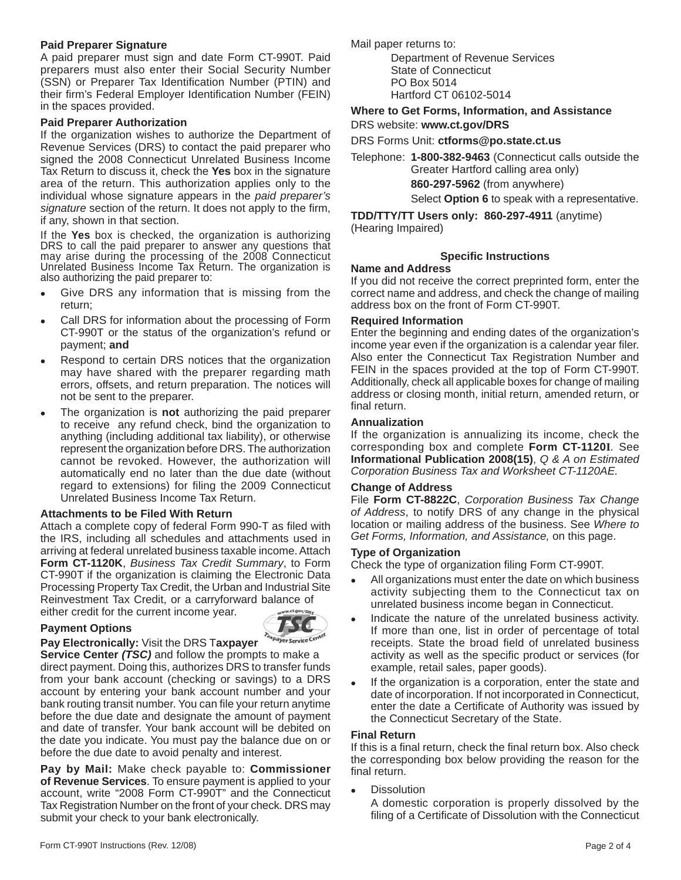# **Paid Preparer Signature**

A paid preparer must sign and date Form CT-990T. Paid preparers must also enter their Social Security Number (SSN) or Preparer Tax Identification Number (PTIN) and their firm's Federal Employer Identification Number (FEIN) in the spaces provided.

#### **Paid Preparer Authorization**

If the organization wishes to authorize the Department of Revenue Services (DRS) to contact the paid preparer who signed the 2008 Connecticut Unrelated Business Income Tax Return to discuss it, check the **Yes** box in the signature area of the return. This authorization applies only to the individual whose signature appears in the *paid preparer's*  signature section of the return. It does not apply to the firm, if any, shown in that section.

If the **Yes** box is checked, the organization is authorizing DRS to call the paid preparer to answer any questions that may arise during the processing of the 2008 Connecticut Unrelated Business Income Tax Return. The organization is also authorizing the paid preparer to:

- Give DRS any information that is missing from the return;
- Call DRS for information about the processing of Form CT-990T or the status of the organization's refund or payment; **and**
- Respond to certain DRS notices that the organization may have shared with the preparer regarding math errors, offsets, and return preparation. The notices will not be sent to the preparer.
- The organization is **not** authorizing the paid preparer to receive any refund check, bind the organization to anything (including additional tax liability), or otherwise represent the organization before DRS. The authorization cannot be revoked. However, the authorization will automatically end no later than the due date (without regard to extensions) for filing the 2009 Connecticut Unrelated Business Income Tax Return.

#### **Attachments to be Filed With Return**

Attach a complete copy of federal Form 990-T as filed with the IRS, including all schedules and attachments used in arriving at federal unrelated business taxable income. Attach **Form CT-1120K**, *Business Tax Credit Summary*, to Form CT-990T if the organization is claiming the Electronic Data Processing Property Tax Credit, the Urban and Industrial Site Reinvestment Tax Credit, or a carryforward balance of ww.ct.gov/DR either credit for the current income year.

# **Payment Options**



#### **Pay Electronically:** Visit the DRS T**axpayer**

**Service Center** *(TSC)* and follow the prompts to make a direct payment. Doing this, authorizes DRS to transfer funds from your bank account (checking or savings) to a DRS account by entering your bank account number and your bank routing transit number. You can file your return anytime before the due date and designate the amount of payment and date of transfer. Your bank account will be debited on the date you indicate. You must pay the balance due on or before the due date to avoid penalty and interest.

**Pay by Mail:** Make check payable to: **Commissioner of Revenue Services**. To ensure payment is applied to your account, write "2008 Form CT-990T" and the Connecticut Tax Registration Number on the front of your check. DRS may submit your check to your bank electronically.

Mail paper returns to:

Department of Revenue Services State of Connecticut PO Box 5014 Hartford CT 06102-5014

**Where to Get Forms, Information, and Assistance** DRS website: **www.ct.gov/DRS**

DRS Forms Unit: **ctforms@po.state.ct.us**

Telephone: **1-800-382-9463** (Connecticut calls outside the Greater Hartford calling area only)  **860-297-5962** (from anywhere) Select **Option 6** to speak with a representative.

**TDD/TTY/TT Users only: 860-297-4911** (anytime) (Hearing Impaired)

# **Specific Instructions**

#### **Name and Address**

If you did not receive the correct preprinted form, enter the correct name and address, and check the change of mailing address box on the front of Form CT-990T.

#### **Required Information**

Enter the beginning and ending dates of the organization's income year even if the organization is a calendar year filer. Also enter the Connecticut Tax Registration Number and FEIN in the spaces provided at the top of Form CT-990T. Additionally, check all applicable boxes for change of mailing address or closing month, initial return, amended return, or final return.

#### **Annualization**

If the organization is annualizing its income, check the corresponding box and complete **Form CT-1120I***.* See **Informational Publication 2008(15)**, *Q & A on Estimated Corporation Business Tax and Worksheet CT-1120AE.*

# **Change of Address**

File **Form CT-8822C**, *Corporation Business Tax Change of Address*, to notify DRS of any change in the physical location or mailing address of the business. See *Where to Get Forms, Information, and Assistance,* on this page.

#### **Type of Organization**

Check the type of organization filing Form CT-990T.

- All organizations must enter the date on which business activity subjecting them to the Connecticut tax on unrelated business income began in Connecticut.
- Indicate the nature of the unrelated business activity. If more than one, list in order of percentage of total receipts. State the broad field of unrelated business activity as well as the specific product or services (for example, retail sales, paper goods).
- If the organization is a corporation, enter the state and date of incorporation. If not incorporated in Connecticut, enter the date a Certificate of Authority was issued by the Connecticut Secretary of the State.

# **Final Return**

If this is a final return, check the final return box. Also check the corresponding box below providing the reason for the final return.

**Dissolution** 

 A domestic corporation is properly dissolved by the filing of a Certificate of Dissolution with the Connecticut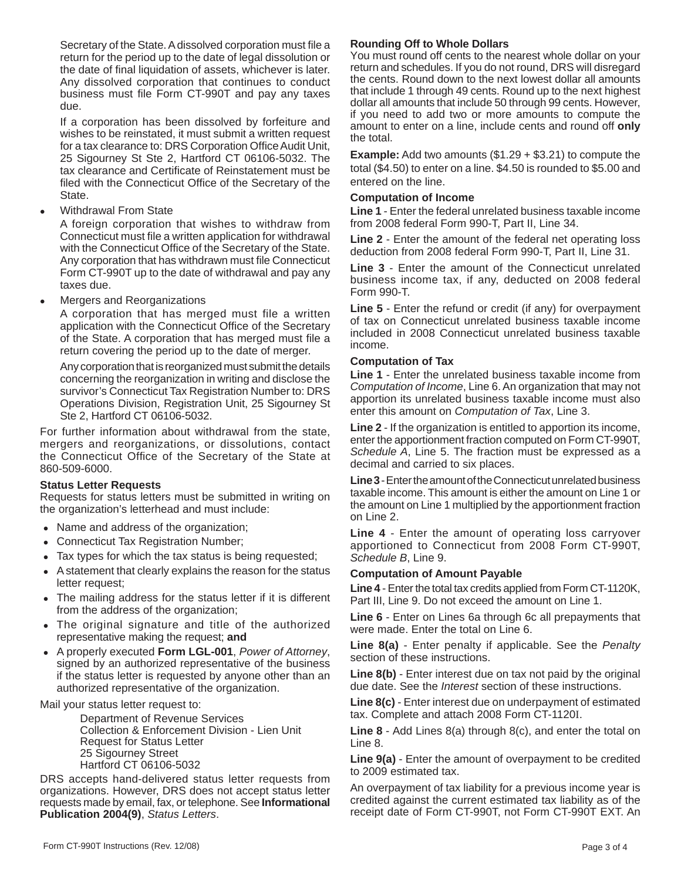Secretary of the State. A dissolved corporation must file a return for the period up to the date of legal dissolution or the date of final liquidation of assets, whichever is later. Any dissolved corporation that continues to conduct business must file Form CT-990T and pay any taxes due.

 If a corporation has been dissolved by forfeiture and wishes to be reinstated, it must submit a written request for a tax clearance to: DRS Corporation Office Audit Unit, 25 Sigourney St Ste 2, Hartford CT 06106-5032. The tax clearance and Certificate of Reinstatement must be filed with the Connecticut Office of the Secretary of the State.

Withdrawal From State

 A foreign corporation that wishes to withdraw from Connecticut must file a written application for withdrawal with the Connecticut Office of the Secretary of the State. Any corporation that has withdrawn must file Connecticut Form CT-990T up to the date of withdrawal and pay any taxes due.

Mergers and Reorganizations

 A corporation that has merged must file a written application with the Connecticut Office of the Secretary of the State. A corporation that has merged must file a return covering the period up to the date of merger.

 Any corporation that is reorganized must submit the details concerning the reorganization in writing and disclose the survivor's Connecticut Tax Registration Number to: DRS Operations Division, Registration Unit, 25 Sigourney St Ste 2, Hartford CT 06106-5032.

For further information about withdrawal from the state, mergers and reorganizations, or dissolutions, contact the Connecticut Office of the Secretary of the State at 860-509-6000.

# **Status Letter Requests**

Requests for status letters must be submitted in writing on the organization's letterhead and must include:

- Name and address of the organization;
- Connecticut Tax Registration Number;
- Tax types for which the tax status is being requested;
- A statement that clearly explains the reason for the status letter request;
- The mailing address for the status letter if it is different from the address of the organization;
- The original signature and title of the authorized representative making the request; **and**
- <sup>z</sup> A properly executed **Form LGL-001**, *Power of Attorney*, signed by an authorized representative of the business if the status letter is requested by anyone other than an authorized representative of the organization.

# Mail your status letter request to:

 Department of Revenue Services Collection & Enforcement Division - Lien Unit Request for Status Letter 25 Sigourney Street Hartford CT 06106-5032

DRS accepts hand-delivered status letter requests from organizations. However, DRS does not accept status letter requests made by email, fax, or telephone. See **Informational Publication 2004(9)**, *Status Letters*.

# **Rounding Off to Whole Dollars**

You must round off cents to the nearest whole dollar on your return and schedules. If you do not round, DRS will disregard the cents. Round down to the next lowest dollar all amounts that include 1 through 49 cents. Round up to the next highest dollar all amounts that include 50 through 99 cents. However, if you need to add two or more amounts to compute the amount to enter on a line, include cents and round off **only**  the total.

**Example:** Add two amounts (\$1.29 + \$3.21) to compute the total (\$4.50) to enter on a line. \$4.50 is rounded to \$5.00 and entered on the line.

# **Computation of Income**

**Line 1** - Enter the federal unrelated business taxable income from 2008 federal Form 990-T, Part II, Line 34.

**Line 2** - Enter the amount of the federal net operating loss deduction from 2008 federal Form 990-T, Part II, Line 31.

**Line 3** - Enter the amount of the Connecticut unrelated business income tax, if any, deducted on 2008 federal Form 990-T.

**Line 5** - Enter the refund or credit (if any) for overpayment of tax on Connecticut unrelated business taxable income included in 2008 Connecticut unrelated business taxable income.

# **Computation of Tax**

**Line 1** - Enter the unrelated business taxable income from *Computation of Income*, Line 6. An organization that may not apportion its unrelated business taxable income must also enter this amount on *Computation of Tax*, Line 3.

**Line 2** - If the organization is entitled to apportion its income, enter the apportionment fraction computed on Form CT-990T, *Schedule A*, Line 5. The fraction must be expressed as a decimal and carried to six places.

**Line 3** -Enter the amount of the Connecticut unrelated business taxable income. This amount is either the amount on Line 1 or the amount on Line 1 multiplied by the apportionment fraction on Line 2.

**Line 4** - Enter the amount of operating loss carryover apportioned to Connecticut from 2008 Form CT-990T, *Schedule B*, Line 9.

# **Computation of Amount Payable**

**Line 4** - Enter the total tax credits applied from Form CT-1120K, Part III, Line 9. Do not exceed the amount on Line 1.

**Line 6** - Enter on Lines 6a through 6c all prepayments that were made. Enter the total on Line 6.

**Line 8(a)** - Enter penalty if applicable. See the *Penalty* section of these instructions.

**Line 8(b)** - Enter interest due on tax not paid by the original due date. See the *Interest* section of these instructions.

**Line 8(c)** - Enter interest due on underpayment of estimated tax. Complete and attach 2008 Form CT-1120I.

**Line 8** - Add Lines 8(a) through 8(c), and enter the total on Line 8.

**Line 9(a)** - Enter the amount of overpayment to be credited to 2009 estimated tax.

An overpayment of tax liability for a previous income year is credited against the current estimated tax liability as of the receipt date of Form CT-990T, not Form CT-990T EXT. An